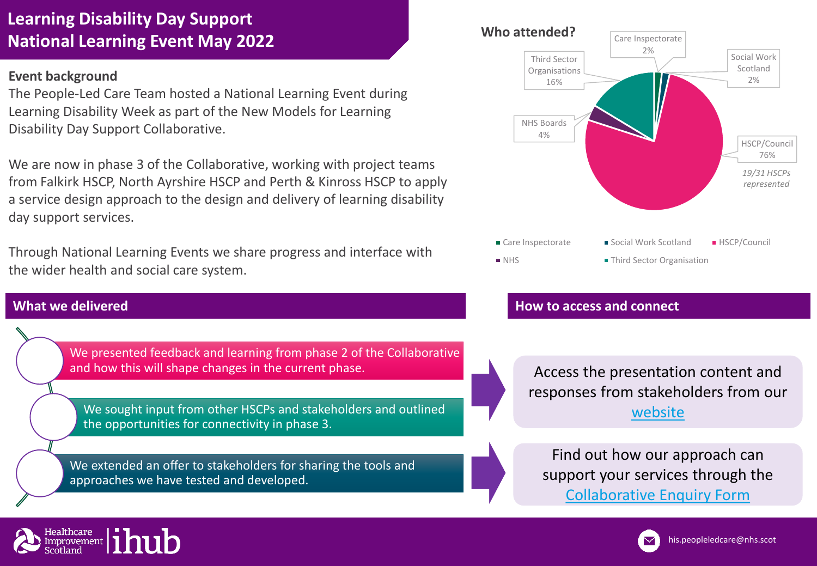# **Learning Disability Day Support National Learning Event May 2022**

### **Event background**

The People-Led Care Team hosted a National Learning Event during Learning Disability Week as part of the New Models for Learning Disability Day Support Collaborative.

We are now in phase 3 of the Collaborative, working with project teams from Falkirk HSCP, North Ayrshire HSCP and Perth & Kinross HSCP to apply a service design approach to the design and delivery of learning disability day support services.

Through National Learning Events we share progress and interface with the wider health and social care system.

## **What we delivered**

We presented feedback and learning from phase 2 of the Collaborative and how this will shape changes in the current phase.

We sought input from other HSCPs and stakeholders and outlined the opportunities for connectivity in phase 3.

We extended an offer to stakeholders for sharing the tools and approaches we have tested and developed.



### **How to access and connect**

Access the presentation content and responses from stakeholders from our [website](https://ihub.scot/learning-disability-day-support-collaborative/)

Find out how our approach can support your services through the [Collaborative Enquiry Form](https://forms.office.com/r/ZwsvzRpz53)